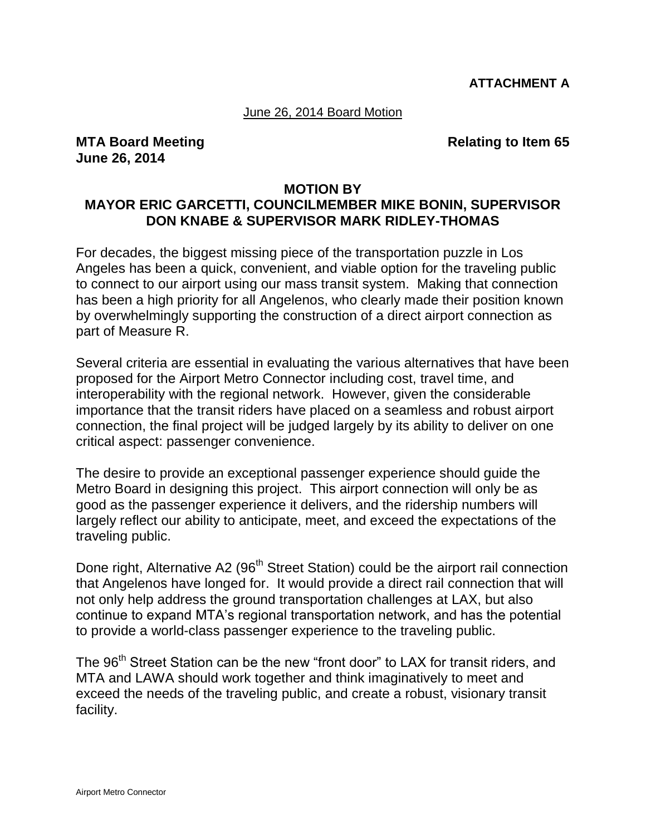**ATTACHMENT A**

## June 26, 2014 Board Motion

## **MTA** Board Meeting **Relational Structure 1 and Algebra** Relating to Item 65 **June 26, 2014**

## **MOTION BY MAYOR ERIC GARCETTI, COUNCILMEMBER MIKE BONIN, SUPERVISOR DON KNABE & SUPERVISOR MARK RIDLEY-THOMAS**

For decades, the biggest missing piece of the transportation puzzle in Los Angeles has been a quick, convenient, and viable option for the traveling public to connect to our airport using our mass transit system. Making that connection has been a high priority for all Angelenos, who clearly made their position known by overwhelmingly supporting the construction of a direct airport connection as part of Measure R.

Several criteria are essential in evaluating the various alternatives that have been proposed for the Airport Metro Connector including cost, travel time, and interoperability with the regional network. However, given the considerable importance that the transit riders have placed on a seamless and robust airport connection, the final project will be judged largely by its ability to deliver on one critical aspect: passenger convenience.

The desire to provide an exceptional passenger experience should guide the Metro Board in designing this project. This airport connection will only be as good as the passenger experience it delivers, and the ridership numbers will largely reflect our ability to anticipate, meet, and exceed the expectations of the traveling public.

Done right, Alternative A2 (96<sup>th</sup> Street Station) could be the airport rail connection that Angelenos have longed for. It would provide a direct rail connection that will not only help address the ground transportation challenges at LAX, but also continue to expand MTA's regional transportation network, and has the potential to provide a world-class passenger experience to the traveling public.

The 96<sup>th</sup> Street Station can be the new "front door" to LAX for transit riders, and MTA and LAWA should work together and think imaginatively to meet and exceed the needs of the traveling public, and create a robust, visionary transit facility.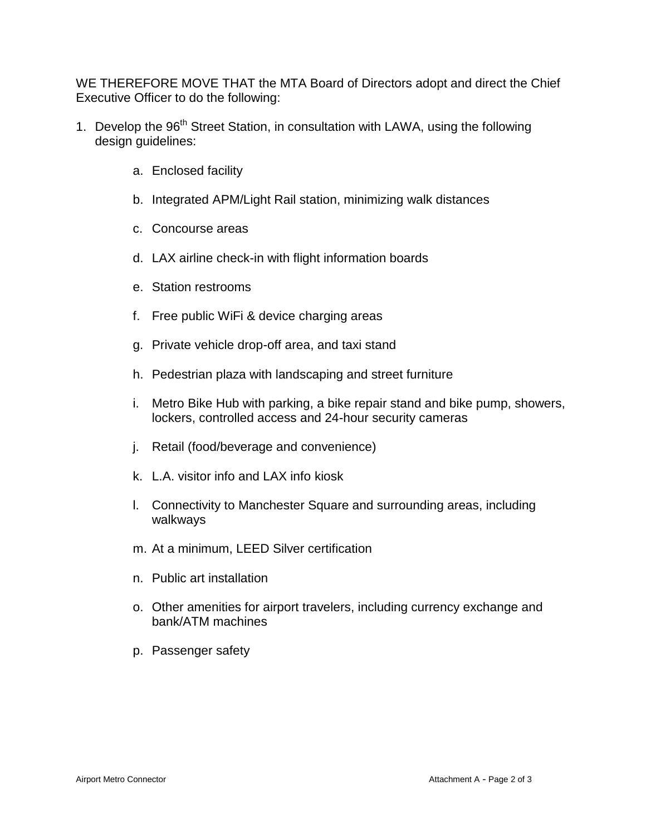WE THEREFORE MOVE THAT the MTA Board of Directors adopt and direct the Chief Executive Officer to do the following:

- 1. Develop the 96<sup>th</sup> Street Station, in consultation with LAWA, using the following design guidelines:
	- a. Enclosed facility
	- b. Integrated APM/Light Rail station, minimizing walk distances
	- c. Concourse areas
	- d. LAX airline check-in with flight information boards
	- e. Station restrooms
	- f. Free public WiFi & device charging areas
	- g. Private vehicle drop-off area, and taxi stand
	- h. Pedestrian plaza with landscaping and street furniture
	- i. Metro Bike Hub with parking, a bike repair stand and bike pump, showers, lockers, controlled access and 24-hour security cameras
	- j. Retail (food/beverage and convenience)
	- k. L.A. visitor info and LAX info kiosk
	- l. Connectivity to Manchester Square and surrounding areas, including walkways
	- m. At a minimum, LEED Silver certification
	- n. Public art installation
	- o. Other amenities for airport travelers, including currency exchange and bank/ATM machines
	- p. Passenger safety